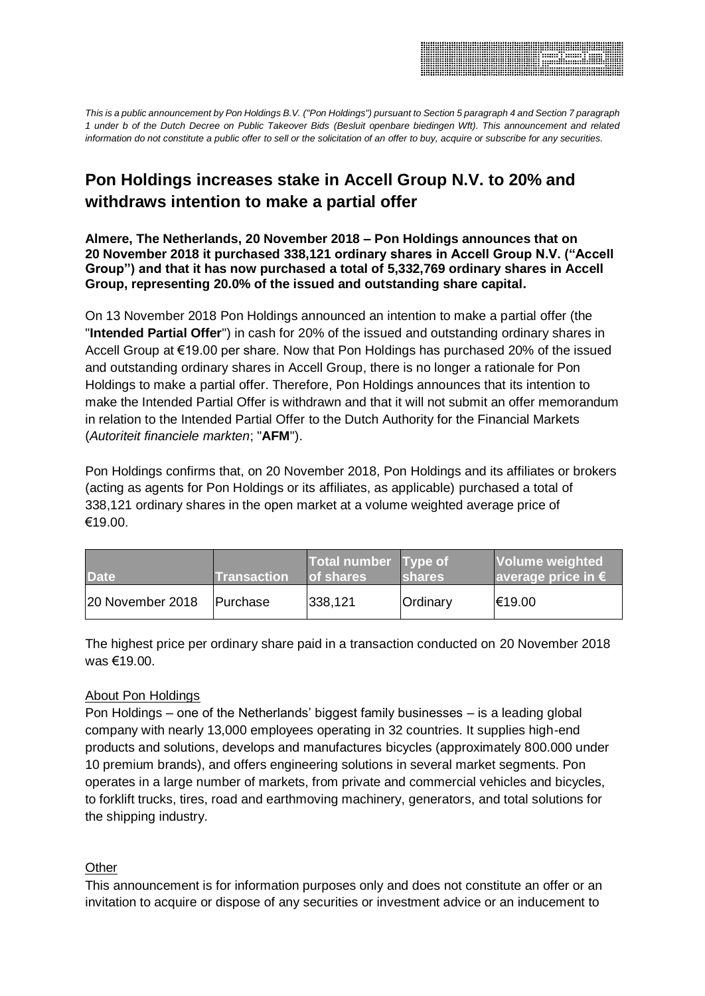

*This is a public announcement by Pon Holdings B.V. ("Pon Holdings") pursuant to Section 5 paragraph 4 and Section 7 paragraph 1 under b of the Dutch Decree on Public Takeover Bids (Besluit openbare biedingen Wft). This announcement and related information do not constitute a public offer to sell or the solicitation of an offer to buy, acquire or subscribe for any securities.* 

## **Pon Holdings increases stake in Accell Group N.V. to 20% and withdraws intention to make a partial offer**

**Almere, The Netherlands, 20 November 2018 – Pon Holdings announces that on 20 November 2018 it purchased 338,121 ordinary shares in Accell Group N.V. ("Accell Group") and that it has now purchased a total of 5,332,769 ordinary shares in Accell Group, representing 20.0% of the issued and outstanding share capital.**

On 13 November 2018 Pon Holdings announced an intention to make a partial offer (the "**Intended Partial Offer**") in cash for 20% of the issued and outstanding ordinary shares in Accell Group at €19.00 per share. Now that Pon Holdings has purchased 20% of the issued and outstanding ordinary shares in Accell Group, there is no longer a rationale for Pon Holdings to make a partial offer. Therefore, Pon Holdings announces that its intention to make the Intended Partial Offer is withdrawn and that it will not submit an offer memorandum in relation to the Intended Partial Offer to the Dutch Authority for the Financial Markets (*Autoriteit financiele markten*; "**AFM**").

Pon Holdings confirms that, on 20 November 2018, Pon Holdings and its affiliates or brokers (acting as agents for Pon Holdings or its affiliates, as applicable) purchased a total of 338,121 ordinary shares in the open market at a volume weighted average price of €19.00.

| <b>Date</b>      | <b>Transaction</b> | Total number Type of<br>of shares | <b>Ishares</b> | <b>Volume weighted</b><br>average price in $\epsilon$ |
|------------------|--------------------|-----------------------------------|----------------|-------------------------------------------------------|
| 20 November 2018 | <b>Purchase</b>    | 338,121                           | Ordinary       | €19.00                                                |

The highest price per ordinary share paid in a transaction conducted on 20 November 2018 was €19.00.

## About Pon Holdings

Pon Holdings – one of the Netherlands' biggest family businesses – is a leading global company with nearly 13,000 employees operating in 32 countries. It supplies high-end products and solutions, develops and manufactures bicycles (approximately 800.000 under 10 premium brands), and offers engineering solutions in several market segments. Pon operates in a large number of markets, from private and commercial vehicles and bicycles, to forklift trucks, tires, road and earthmoving machinery, generators, and total solutions for the shipping industry.

## **Other**

This announcement is for information purposes only and does not constitute an offer or an invitation to acquire or dispose of any securities or investment advice or an inducement to